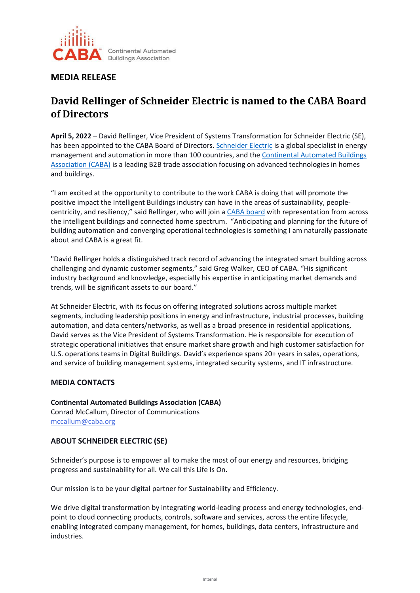

## **MEDIA RELEASE**

# **David Rellinger of Schneider Electric is named to the CABA Board of Directors**

**April 5, 2022** – David Rellinger, Vice President of Systems Transformation for Schneider Electric (SE), has been appointed to the CABA Board of Directors[. Schneider Electric](http://www.se.com/) is a global specialist in energy management and automation in more than 100 countries, and the [Continental Automated Buildings](https://www.caba.org/)  [Association \(CABA\)](https://www.caba.org/) is a leading B2B trade association focusing on advanced technologies in homes and buildings.

"I am excited at the opportunity to contribute to the work CABA is doing that will promote the positive impact the Intelligent Buildings industry can have in the areas of sustainability, peoplecentricity, and resiliency," said Rellinger, who will join a [CABA board](https://www.caba.org/board-of-directors/) with representation from across the intelligent buildings and connected home spectrum. "Anticipating and planning for the future of building automation and converging operational technologies is something I am naturally passionate about and CABA is a great fit.

"David Rellinger holds a distinguished track record of advancing the integrated smart building across challenging and dynamic customer segments," said Greg Walker, CEO of CABA. "His significant industry background and knowledge, especially his expertise in anticipating market demands and trends, will be significant assets to our board."

At Schneider Electric, with its focus on offering integrated solutions across multiple market segments, including leadership positions in energy and infrastructure, industrial processes, building automation, and data centers/networks, as well as a broad presence in residential applications, David serves as the Vice President of Systems Transformation. He is responsible for execution of strategic operational initiatives that ensure market share growth and high customer satisfaction for U.S. operations teams in Digital Buildings. David's experience spans 20+ years in sales, operations, and service of building management systems, integrated security systems, and IT infrastructure.

#### **MEDIA CONTACTS**

**Continental Automated Buildings Association (CABA)** Conrad McCallum, Director of Communications [mccallum@caba.org](mailto:mccallum@caba.org)

#### **ABOUT SCHNEIDER ELECTRIC (SE)**

Schneider's purpose is to empower all to make the most of our energy and resources, bridging progress and sustainability for all. We call this Life Is On.

Our mission is to be your digital partner for Sustainability and Efficiency.

We drive digital transformation by integrating world-leading process and energy technologies, endpoint to cloud connecting products, controls, software and services, across the entire lifecycle, enabling integrated company management, for homes, buildings, data centers, infrastructure and industries.